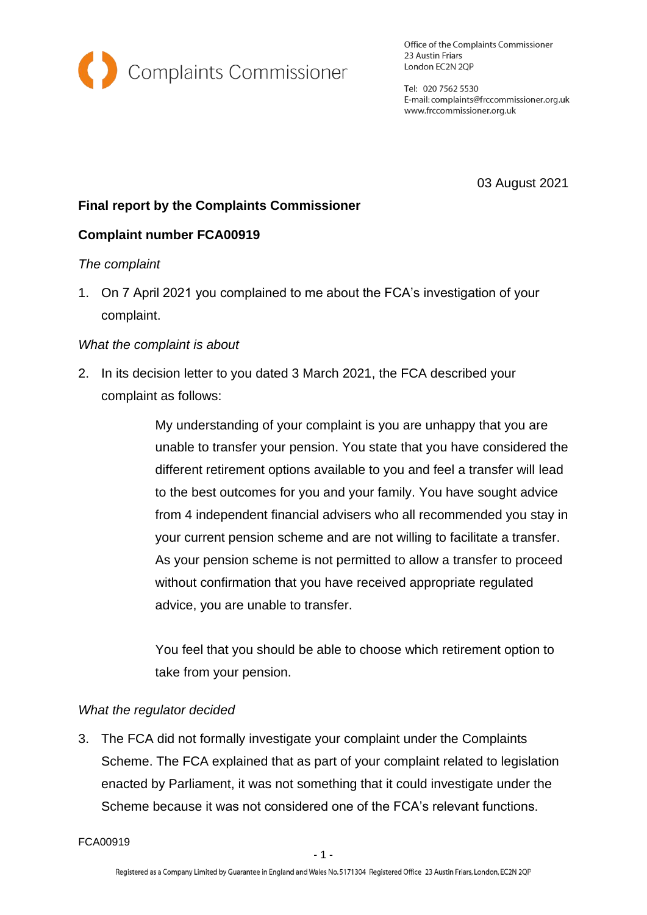

Office of the Complaints Commissioner 23 Austin Friars London EC2N 2QP

Tel: 020 7562 5530 E-mail: complaints@frccommissioner.org.uk www.frccommissioner.org.uk

03 August 2021

# **Final report by the Complaints Commissioner**

## **Complaint number FCA00919**

## *The complaint*

1. On 7 April 2021 you complained to me about the FCA's investigation of your complaint.

## *What the complaint is about*

2. In its decision letter to you dated 3 March 2021, the FCA described your complaint as follows:

> My understanding of your complaint is you are unhappy that you are unable to transfer your pension. You state that you have considered the different retirement options available to you and feel a transfer will lead to the best outcomes for you and your family. You have sought advice from 4 independent financial advisers who all recommended you stay in your current pension scheme and are not willing to facilitate a transfer. As your pension scheme is not permitted to allow a transfer to proceed without confirmation that you have received appropriate regulated advice, you are unable to transfer.

You feel that you should be able to choose which retirement option to take from your pension.

#### *What the regulator decided*

3. The FCA did not formally investigate your complaint under the Complaints Scheme. The FCA explained that as part of your complaint related to legislation enacted by Parliament, it was not something that it could investigate under the Scheme because it was not considered one of the FCA's relevant functions.

FCA00919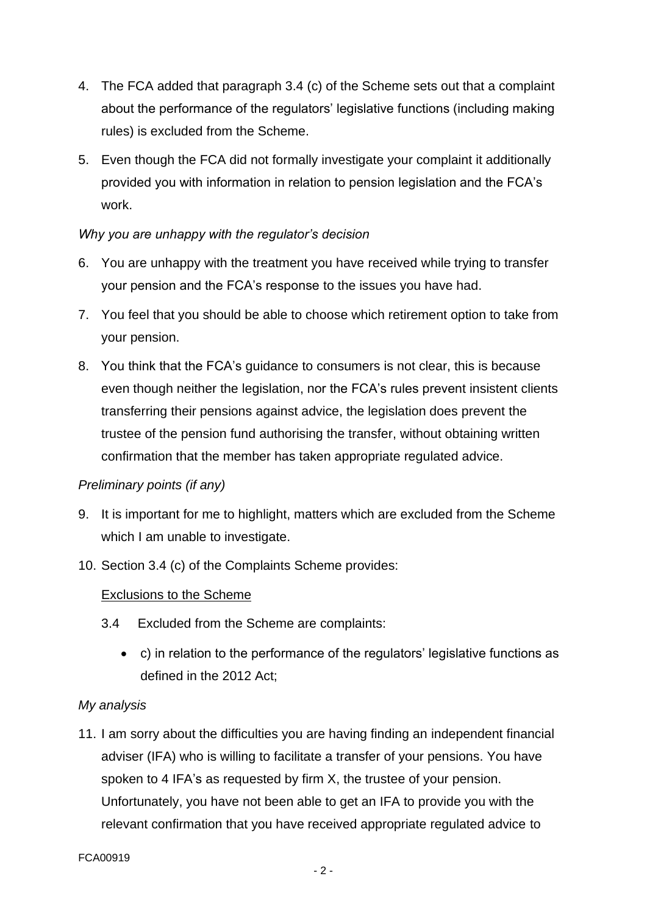- 4. The FCA added that paragraph 3.4 (c) of the Scheme sets out that a complaint about the performance of the regulators' legislative functions (including making rules) is excluded from the Scheme.
- 5. Even though the FCA did not formally investigate your complaint it additionally provided you with information in relation to pension legislation and the FCA's work.

## *Why you are unhappy with the regulator's decision*

- 6. You are unhappy with the treatment you have received while trying to transfer your pension and the FCA's response to the issues you have had.
- 7. You feel that you should be able to choose which retirement option to take from your pension.
- 8. You think that the FCA's guidance to consumers is not clear, this is because even though neither the legislation, nor the FCA's rules prevent insistent clients transferring their pensions against advice, the legislation does prevent the trustee of the pension fund authorising the transfer, without obtaining written confirmation that the member has taken appropriate regulated advice.

## *Preliminary points (if any)*

- 9. It is important for me to highlight, matters which are excluded from the Scheme which I am unable to investigate.
- 10. Section 3.4 (c) of the Complaints Scheme provides:

#### Exclusions to the Scheme

- 3.4 Excluded from the Scheme are complaints:
	- c) in relation to the performance of the regulators' legislative functions as defined in the 2012 Act;

#### *My analysis*

11. I am sorry about the difficulties you are having finding an independent financial adviser (IFA) who is willing to facilitate a transfer of your pensions. You have spoken to 4 IFA's as requested by firm X, the trustee of your pension. Unfortunately, you have not been able to get an IFA to provide you with the relevant confirmation that you have received appropriate regulated advice to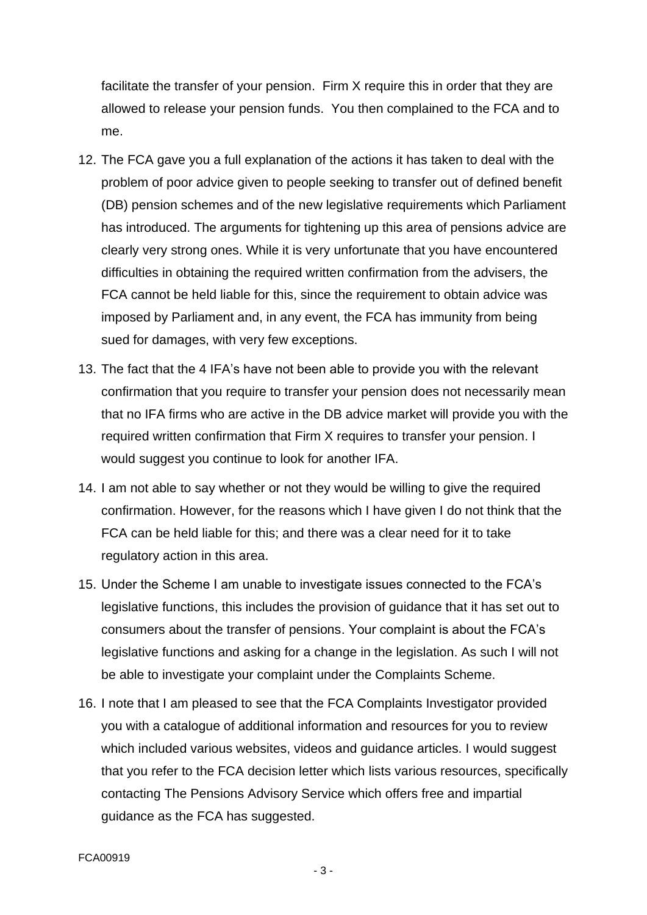facilitate the transfer of your pension. Firm X require this in order that they are allowed to release your pension funds. You then complained to the FCA and to me.

- 12. The FCA gave you a full explanation of the actions it has taken to deal with the problem of poor advice given to people seeking to transfer out of defined benefit (DB) pension schemes and of the new legislative requirements which Parliament has introduced. The arguments for tightening up this area of pensions advice are clearly very strong ones. While it is very unfortunate that you have encountered difficulties in obtaining the required written confirmation from the advisers, the FCA cannot be held liable for this, since the requirement to obtain advice was imposed by Parliament and, in any event, the FCA has immunity from being sued for damages, with very few exceptions.
- 13. The fact that the 4 IFA's have not been able to provide you with the relevant confirmation that you require to transfer your pension does not necessarily mean that no IFA firms who are active in the DB advice market will provide you with the required written confirmation that Firm X requires to transfer your pension. I would suggest you continue to look for another IFA.
- 14. I am not able to say whether or not they would be willing to give the required confirmation. However, for the reasons which I have given I do not think that the FCA can be held liable for this; and there was a clear need for it to take regulatory action in this area.
- 15. Under the Scheme I am unable to investigate issues connected to the FCA's legislative functions, this includes the provision of guidance that it has set out to consumers about the transfer of pensions. Your complaint is about the FCA's legislative functions and asking for a change in the legislation. As such I will not be able to investigate your complaint under the Complaints Scheme.
- 16. I note that I am pleased to see that the FCA Complaints Investigator provided you with a catalogue of additional information and resources for you to review which included various websites, videos and guidance articles. I would suggest that you refer to the FCA decision letter which lists various resources, specifically contacting The Pensions Advisory Service which offers free and impartial guidance as the FCA has suggested.